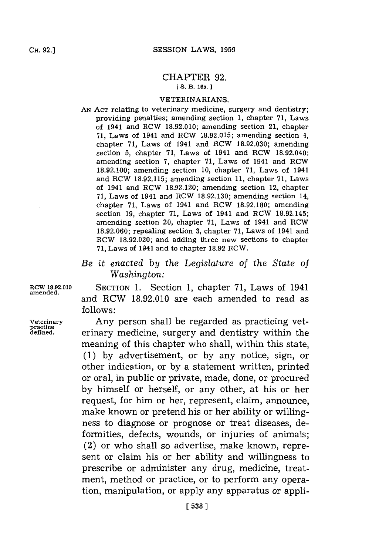## CHAPTER **92. [S.** B. **165.**

## **VETERINARIANS.**

- **AN ACT** relating to veterinary medicine, surgery and dentistry; providing penalties; amending section **1,** chapter **71,** Laws of 1941 and ROW **18.92.010;** amending section 21, chapter **71,** Laws of 1941 and ROW **18.92.015;** amending section 4, chapter **71,** Laws of 1941 and ROW **18.92.030;** amending section **5,** chapter **71,** Laws of 1941 and ROW 18.92.040; amending section **7,** chapter **71,** Laws of 1941 and ROW **18.92.100;** amending section **10,** chapter **71,** Laws of 1941 and ROW **18.92.115;** amending section **11,** chapter **71,** Laws of 1941 and ROW **18.92.120;** amending section 12, chapter **71,** Laws of 1941 and ROW **18.92.130;** amending section 14, chapter **71,** Laws of 1941 and ROW **18.92.180;** amending section **19,** chapter **71,** Laws of 1941 and ROW **18.92.145;** amending section 20, chapter **71,** Laws of 1941 and ROW **18.92.060;** repealing section **3,** chapter **71,** Laws of 1941 and ROW **18.92.020;** and adding three new sections to chapter **71,** Laws of 1941 and to chapter **18.92** ROW.
- *Be it enacted by the Legislature of the State of Washingt on:*

**ROW 18.92.010 SECTION 1.** Section **1,** chapter **71,** Laws of 1941 **amended.** and RCW **18.92.010** are each amended to read as **follows:**

**Veterinary** Any person shall be regarded as practicing vet- **practice defined.** erinary medicine, surgery and dentistry within the meaning of this chapter who shall, within this state, **(1) by** advertisement, or **by** any notice, sign, or other indication, or **by** a statement written, printed or oral, in public or private, made, done, or procured **by** himself or herself, or any other, at his or her request, for him or her, represent, claim, announce, make known or pretend his or her ability or willingness to diagnose or prognose or treat diseases, deformities, defects, wounds, or injuries of animals; (2) or who shall so advertise, make known, represent or claim his or her ability and willingness to prescribe or administer any drug, medicine, treatment, method or practice, or to perform any operation, manipulation, or apply any apparatus or appli-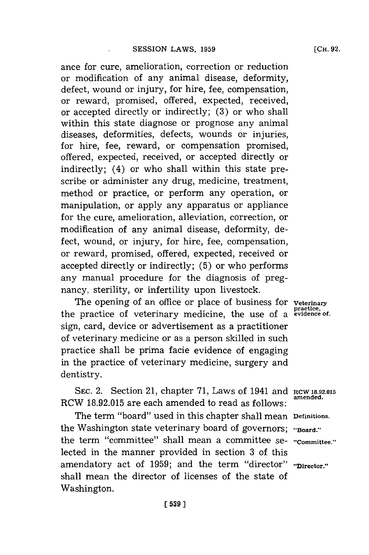ance for cure, amelioration, correction or reduction or modification of any animal disease, deformity, defect, wound or injury, for hire, fee, compensation, or reward, promised, offered, expected, received, or accepted directly or indirectly; **(3)** or who shall within this state diagnose or prognose any animal diseases, deformities, defects, wounds or injuries, for hire, fee, reward, or compensation promised, offered, expected, received, or accepted directly or indirectly; (4) or who shall within this state prescribe or administer any drug, medicine, treatment, method or practice, or perform any operation, or manipulation, or apply any apparatus or appliance for the cure, amelioration, alleviation, correction, or modification of any animal disease, deformity, defect, wound, or injury, for hire, fee, compensation, or reward, promised, offered, expected, received or accepted directly or indirectly; **(5)** or who performs any manual procedure for the diagnosis of pregnancy, sterility, or infertility upon livestock.

The opening of an office or place of business for veterinary the practice of veterinary medicine, the use of a **evidence of.** sign, card, device or advertisement as a practitioner of veterinary medicine or as a person skilled in such practice shall be prima facie evidence of engaging in the practice of veterinary medicine, surgery and dentistry.

SEC. 2. Section 21, chapter 71, Laws of 1941 and **RCW 18.92.015**<br>amended. RCW 18.92.015 are each amended to read as follows:

The term "board" used in this chapter shall mean **Definitions.** the Washington state veterinary board of governors; "Board." the term "committee" shall mean a committee se- **"Committee."** lected in the manner provided in section **3** of this amendatory act of 1959; and the term "director" "Director." shall mean the director of licenses of the state of Washington.

**[539)1**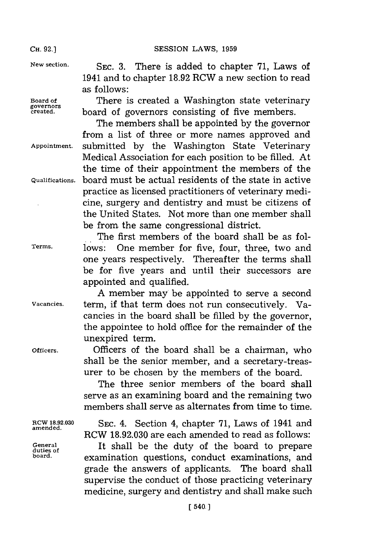**New section.** SEC. **3.** There is added to chapter **71,** Laws of 1941 and to chapter **18.92** RCW a new section to read as follows:

**Board of** There is created a Washington state veterinary **governors** board of governors consisting of five members.

The members shall be appointed **by** the governor from a list of three or more names approved and **Appointment,** submitted **by** the Washington State Veterinary Medical Association for each position to be filled. At the time of their appointment the members of the **Qualifications,** board must be actual residents of the state in active practice as licensed practitioners of veterinary medicine, surgery and dentistry and must be citizens of the United States. Not more than one member shall be from the same congressional district.

The first members of the board shall be as fol-**Terms,** lows: One member for five, four, three, two and one years respectively. Thereafter the terms shall be for five years and until their successors are appointed and qualified.

**A** member may be appointed to serve a second **Vacancies,** term, if that term does not run consecutively. Vacancies in the board shall be filled **by** the governor, the appointee to hold office for the remainder of the unexpired term.

**Officers.** Officers of the board shall be a chairman, who shall be the senior member, and a secretary-treasurer to be chosen **by** the members of the board.

> The three senior members of the board shall serve as an examining board and the remaining two members shall serve as alternates from time to time.

**RCW 18.92.030 SEC.** 4. Section 4, chapter **71,** Laws of 1941 and RCW **18.92.030** are each amended to read as follows:

**General** It shall be the duty of the board to prepare **duties, of** examination questions, conduct examinations, and grade the answers of applicants. The board shall supervise the conduct of those practicing veterinary medicine, surgery and dentistry and shall make such

**amended.**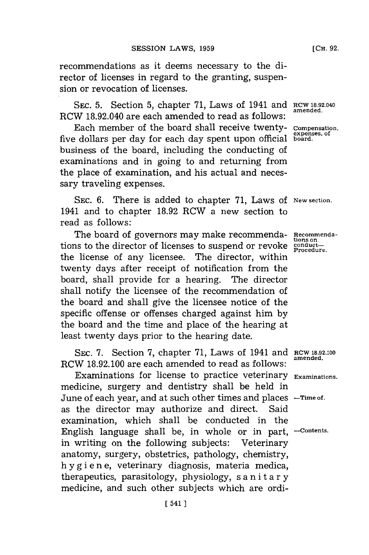recommendations as it deems necessary to the director of licenses in regard to the granting, suspension or revocation of licenses.

**SEC. 5.** Section 5, chapter 71, Laws of 1941 and RCW 18.92.040 RCW 18.92.040 are each amended to read as follows:

Each member of the board shall receive twenty- **Compensation,** five dollars per day for each day spent upon official **board.** business of the board, including the conducting of examinations and in going to and returning from the place of examination, and his actual and necessary traveling expenses.

SEC. 6. There is added to chapter 71, Laws of New section. 1941 and to chapter **18.92** RCW a new section to read as follows:

The board of governors may make recommenda- **Recommenda**tions to the director of licenses to suspend or revoke **conductions** the license of any licensee. The director, within twenty days after receipt of notification from the board, shall provide for a hearing. The director shall notify the licensee of the recommendation of the board and shall give the licensee notice of the specific offense or offenses charged against him **by** the board and the time and place of the hearing at least twenty days prior to the hearing date.

SEC. 7. Section 7, chapter 71, Laws of 1941 and RCW 18.92.100 amended. RCW 18.92.100 are each amended to read as follows:

Examinations for license to practice veterinary **Examinations.** medicine, surgery and dentistry shall be held in June of each year, and at such other times and places **-Time** *of.* as the director may authorize and direct. Said examination, which shall be conducted in the English language shall be, in whole or in part, **-Contents.** in writing on the following subjects: Veterinary anatomy, surgery, obstetrics, pathology, chemistry, hy gi ene, veterinary diagnosis, materia medica, therapeutics, parasitology, physiology, s a n ita ry medicine, and such other subjects which are ordi-

**ex.penses, of**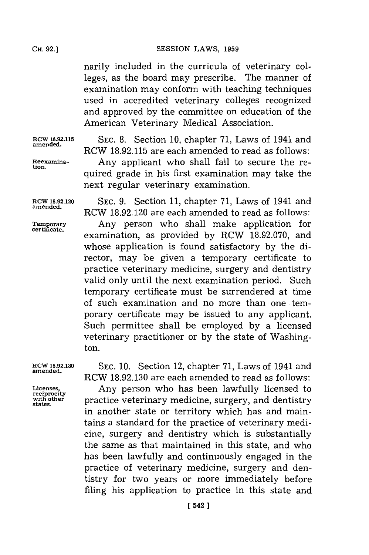narily included in the curricula of veterinary colleges, as the board may prescribe. The manner of examination may conform with teaching techniques used in accredited veterinary colleges recognized and approved **by** the committee on education of the American Veterinary Medical Association.

**RCW 18.92.115 SEC. 8.** Section **10,** chapter **71,** Laws of 1941 and **amended.** RCW **18.92.115** are each amended to read as follows: **Reexamina-** Any applicant who shall fail to secure the re- **tion.** quired grade in his first examination may take the next regular veterinary examination.

**RCW 18.92.120 SEC. 9.** Section **11,** chapter **71,** Laws of 1941 and RCW 18.92.120 are each amended to read as follows: **Temporary** Any person who shall make application for examination, as provided by RCW 18.92.070, and whose application is found satisfactory **by** the director, may be given a temporary certificate to practice veterinary medicine, surgery and dentistry valid only until the next examination period. Such temporary certificate must be surrendered at time of such examination and no more than one temporary certificate may be issued to any applicant. Such permittee shall be employed **by** a licensed veterinary practitioner or **by** the state of Washington.

**RCW 18.92.130 SEC. 10.** Section 12, chapter **71,** Laws of 1941 and **amended.** RCW **18.92.130** are each amended to read as follows:

Licenses, **Any person who has been lawfully licent** reciprocity Licenses, Any person who has been lawfully licensed to with other practice veterinary medicine, surgery, and dentistry states. in another state or territory which has and maintains a standard for the practice of veterinary medicine, surgery and dentistry which is substantially the same as that maintained in this state, and who has been lawfully and continuously engaged in the practice of veterinary medicine, surgery and dentistry for two years or more immediately before filing his application to practice in this state and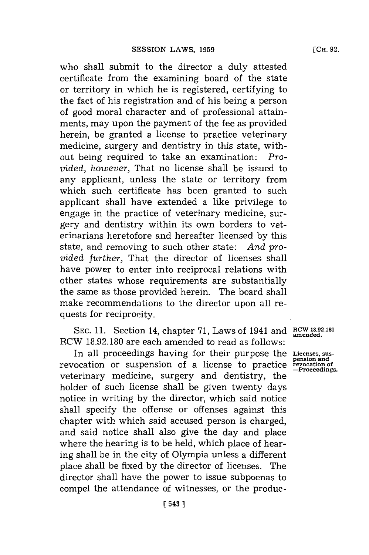who shall submit to the director a duly attested certificate from the examining board of the state or territory in which he is registered, certifying to the fact of his registration and of his being a person of good moral character and of professional attainments, may upon the payment of the fee as provided herein, be granted a license to practice veterinary medicine, surgery and dentistry in this state, without being required to take an examination: *Provided, however,* That no license shall be issued to any applicant, unless the state or territory from which such certificate has been granted to such applicant shall have extended a like privilege to engage in the practice of veterinary medicine, surgery and dentistry within its own borders to veterinarians heretofore and hereafter licensed **by** this state, and removing to such other state: And provided *further,* That the director of licenses shall have power to enter into reciprocal relations with other states whose requirements are substantially the same as those provided herein. The board shall make recommendations to the director upon all requests for reciprocity.

**SEC. 11.** Section 14, chapter **71,** Laws of 1941 and **ROW 18.92.180** RCW **18.92.180** are each amended to read as follows:

In all proceedings having for their purpose the **Licenses. sus**revocation or suspension of a license to practice revocation of veterinary medicine, surgery and dentistry, the holder of such license shall be given twenty days notice in writing **by** the director, which said notice shall specify the offense or offenses against this chapter with which said accused person is charged, and said notice shall also give the day and place where the hearing is to be held, which place of hearing shall be in the city of Olympia unless a different place shall be fixed **by** the director of licenses. The director shall have the power to issue subpoenas to compel the attendance of witnesses, or the produc-

**[** 543 **1**

**amended.**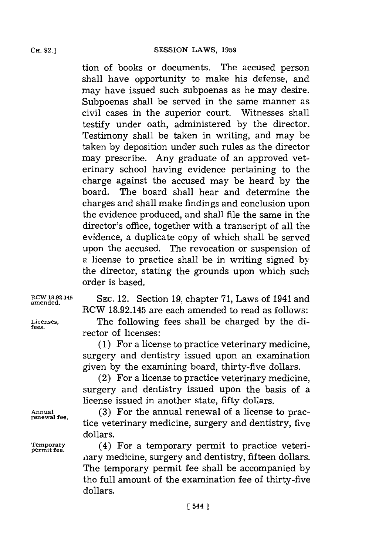tion of books or documents. The accused person shall have opportunity to make his defense, and may have issued such subpoenas as he may desire. Subpoenas shall be served in the same manner as civil cases in the superior court. Witnesses shall testify under oath, administered **by** the director. Testimony shall be taken in writing, and may be taken **by** deposition under such rules as the director may prescribe. Any graduate of an approved veterinary school having evidence pertaining to the charge against the accused may be heard **by** the board. The board shall hear and determine the charges and shall make findings and conclusion upon the evidence produced, and shall file the same in the director's office, together with a transcript of all the evidence, a duplicate copy of which shall be served upon the accused. The revocation or suspension of a license to practice shall be in writing signed **by** the director, stating the grounds upon which such order is based.

**RCW 18.92.145 SEC.** 12. Section **19,** chapter **71,** Laws of 1941 and RCW **18.92.145** are each amended to read as follows:

**Licenses,** The following fees shall be charged **by** the director of licenses:

> **(1)** For a license to practice veterinary medicine, surgery and dentistry issued upon an examination given **by** the examining board, thirty-five dollars.

> (2) For a license to practice veterinary medicine, surgery and dentistry issued upon the basis of a license issued in another state, fifty dollars.

Annual **Annual** (3) For the annual renewal of a license to practice veterinary medicine, surgery and dentistry, five dollars.

**Temporary** (4) For a temporary permit to practice veterinary medicine, surgery and dentistry, fifteen dollars. The temporary permit fee shall be accompanied **by** the full amount of the examination fee of thirty-five dollars.

**amended.**

**permit fee.**